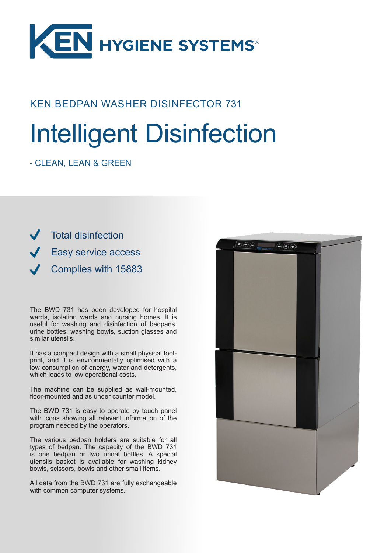

## KEN BEDPAN WASHER DISINFECTOR 731

# Intelligent Disinfection

- CLEAN, LEAN & GREEN

Total disinfection Easy service access Complies with 15883

The BWD 731 has been developed for hospital wards, isolation wards and nursing homes. It is useful for washing and disinfection of bedpans, urine bottles, washing bowls, suction glasses and similar utensils.

It has a compact design with a small physical footprint, and it is environmentally optimised with a low consumption of energy, water and detergents, which leads to low operational costs.

The machine can be supplied as wall-mounted, floor-mounted and as under counter model.

The BWD 731 is easy to operate by touch panel with icons showing all relevant information of the program needed by the operators.

The various bedpan holders are suitable for all types of bedpan. The capacity of the BWD 731 is one bedpan or two urinal bottles. A special utensils basket is available for washing kidney bowls, scissors, bowls and other small items.

All data from the BWD 731 are fully exchangeable with common computer systems.